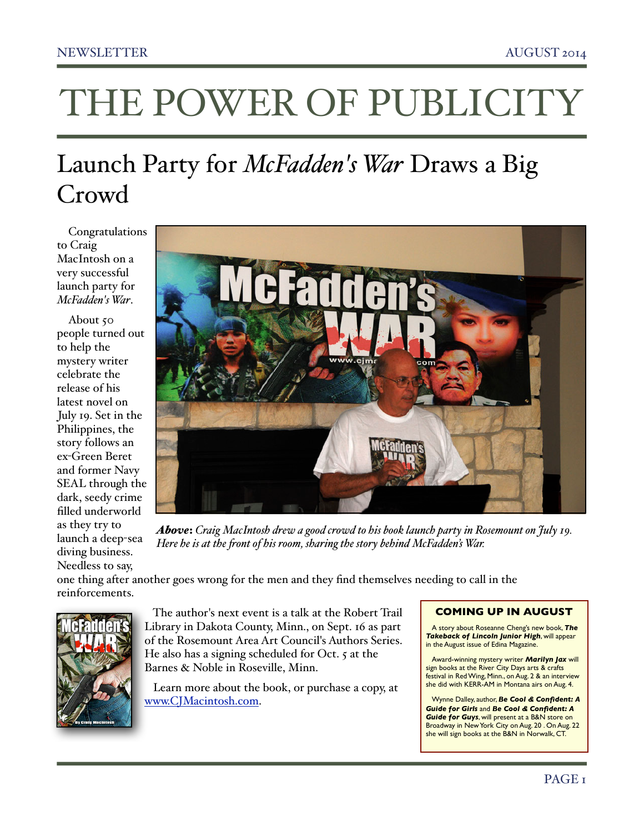## THE POWER OF PUBLICITY

### Launch Party for *McFadden's War* Draws a Big Crowd

Congratulations to Craig MacIntosh on a very successful launch party for *McFadden's War*.

About 50 people turned out to help the mystery writer celebrate the release of his latest novel on July 19. Set in the Philippines, the story follows an ex-Green Beret and former Navy SEAL through the dark, seedy crime filled underworld as they try to launch a deep-sea diving business. Needless to say,



*Above*: *Craig MacIntosh drew a good crowd to his book launch party in Rosemount on July 19. Here he is at the !ont of his room, sharing the story behind McFadden's War.*

one thing after another goes wrong for the men and they find themselves needing to call in the reinforcements.



 The author's next event is a talk at the Robert Trail Library in Dakota County, Minn., on Sept. 16 as part of the Rosemount Area Art Council's Authors Series. He also has a signing scheduled for Oct. 5 at the Barnes & Noble in Roseville, Minn.

 Learn more about the book, or purchase a copy, at [www.CJMacintosh.com](http://www.CJMacintosh.com).

#### **COMING UP IN AUGUST**

A story about Roseanne Cheng's new book, *The Takeback of Lincoln Junior High*, will appear in the August issue of Edina Magazine.

Award-winning mystery writer *Marilyn Jax* will sign books at the River City Days arts & crafts festival in Red Wing, Minn., on Aug. 2 & an interview she did with KERR-AM in Montana airs on Aug. 4.

Wynne Dalley, author, *Be Cool & Confident: A Guide for Girls* and *Be Cool & Confident: A Guide for Guys*, will present at a B&N store on Broadway in New York City on Aug. 20 . On Aug. 22 she will sign books at the B&N in Norwalk, CT.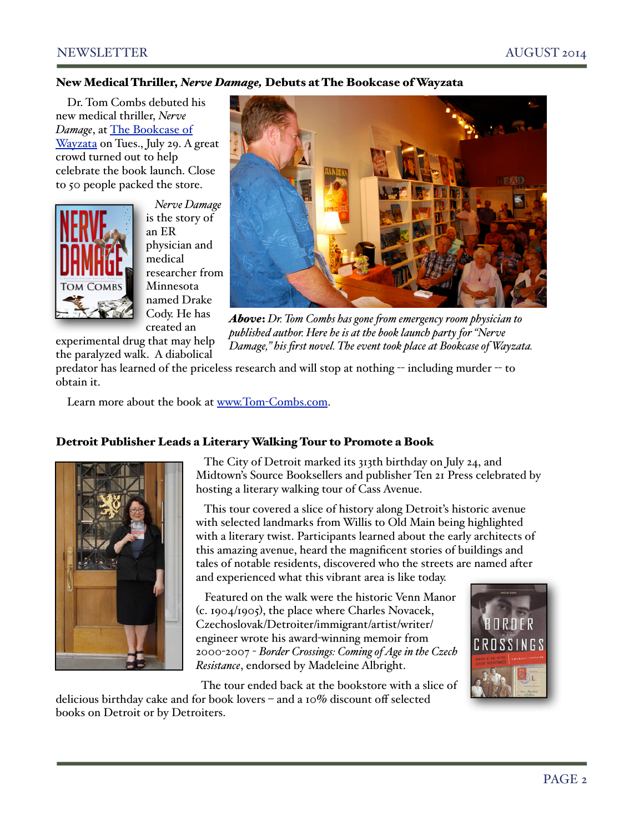#### NEWSLETTER AUGUST 2014

#### New Medical Thriller, *Nerve Damage,* Debuts at The Bookcase of Wayzata

Dr. Tom Combs debuted his new medical thriller, *Nerve Damage*, at [The Bookcase of](http://www.bookcaseofwayzata.com/event/2014/07/29/day)  [Wayzata](http://www.bookcaseofwayzata.com/event/2014/07/29/day) on Tues., July 29. A great crowd turned out to help celebrate the book launch. Close to 50 people packed the store.

experimental drug that may help the paralyzed walk. A diabolical



 *Nerve Damage* is the story of an ER physician and medical researcher from Minnesota named Drake Cody. He has created an



*Above*: *Dr. Tom Combs has gone !om emergency room physician to published author. Here he is at the book launch party for "Nerve Damage," his first novel. The event took place at Bookcase of Wayzata.*

predator has learned of the priceless research and will stop at nothing -- including murder -- to obtain it.

Learn more about the book at www.Tom-[Combs.com.](http://www.Tom-Combs.com)

#### Detroit Publisher Leads a Literary Walking Tour to Promote a Book



 The City of Detroit marked its 313th birthday on July 24, and Midtown's Source Booksellers and publisher Ten 21 Press celebrated by hosting a literary walking tour of Cass Avenue.

 This tour covered a slice of history along Detroit's historic avenue with selected landmarks from Willis to Old Main being highlighted with a literary twist. Participants learned about the early architects of this amazing avenue, heard the magnificent stories of buildings and tales of notable residents, discovered who the streets are named after and experienced what this vibrant area is like today.

 Featured on the walk were the historic Venn Manor (c. 1904/1905), the place where Charles Novacek, Czechoslovak/Detroiter/immigrant/artist/writer/ engineer wrote his award-winning memoir from 2000-2007 - *Border Crossings: Coming of Age in the Czech Resistance*, endorsed by Madeleine Albright.

 The tour ended back at the bookstore with a slice of delicious birthday cake and for book lovers – and a 10% discount off selected books on Detroit or by Detroiters.

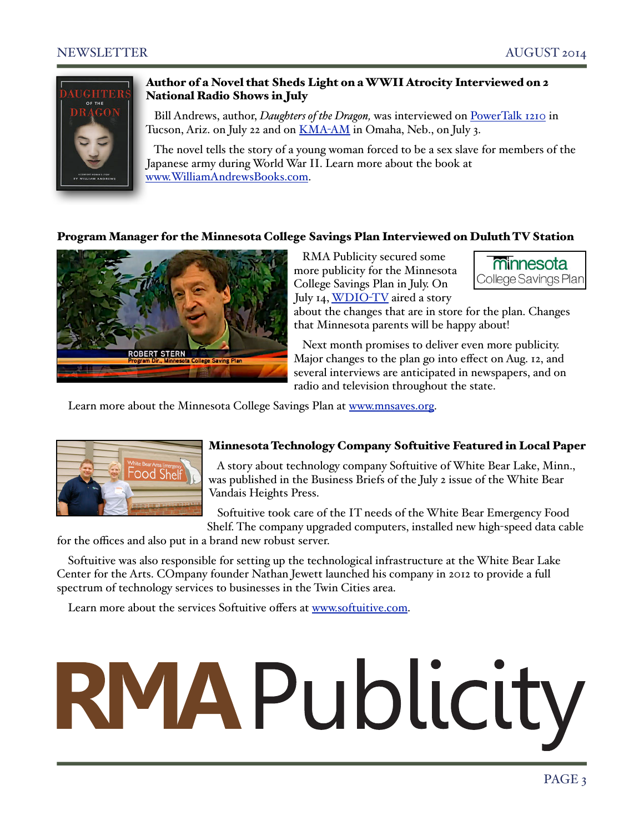

#### Author of a Novel that Sheds Light on a WWII Atrocity Interviewed on 2 National Radio Shows in July

 Bill Andrews, author, *Daughters of the Dragon,* was interviewed on [PowerTalk 1210](http://www.rmapublicity.com/images/stories/Audio/Daughters%20of%20the%20Dragon%20-%20Power%20Talk%201210%20Radio,%20Tucson%20-%20July%2022,%202014.mp3) in Tucson, Ariz. on July 22 and on [KMA](http://www.rmapublicity.com/images/stories/Audio/Daughters%20of%20the%20Dragon%20-%20KMA%20Radio,%20Omaha%20-%20July%203,%202014.mp3)-AM in Omaha, Neb., on July 3.

 The novel tells the story of a young woman forced to be a sex slave for members of the Japanese army during World War II. Learn more about the book at [www.WilliamAndrewsBooks.com.](http://www.WilliamAndrewsBooks.com)

#### Program Manager for the Minnesota College Savings Plan Interviewed on Duluth TV Station



 RMA Publicity secured some more publicity for the Minnesota College Savings Plan in July. On July 14, [WDIO](http://www.wdio.com/article/stories/s3502721.shtml)-TV aired a story



about the changes that are in store for the plan. Changes that Minnesota parents will be happy about!

 Next month promises to deliver even more publicity. Major changes to the plan go into effect on Aug. 12, and several interviews are anticipated in newspapers, and on radio and television throughout the state.

Learn more about the Minnesota College Savings Plan at [www.mnsaves.org.](http://www.mnsaves.org)



#### Minnesota Technology Company Softuitive Featured in Local Paper

 A story about technology company Softuitive of White Bear Lake, Minn., was published in the Business Briefs of the July 2 issue of the White Bear Vandais Heights Press.

 Softuitive took care of the IT needs of the White Bear Emergency Food Shelf. The company upgraded computers, installed new high-speed data cable

for the offices and also put in a brand new robust server.

Softuitive was also responsible for setting up the technological infrastructure at the White Bear Lake Center for the Arts. COmpany founder Nathan Jewett launched his company in 2012 to provide a full spectrum of technology services to businesses in the Twin Cities area.

Learn more about the services Softuitive offers at [www.softuitive.com.](http://www.softuitive.com)

# RMAPublicity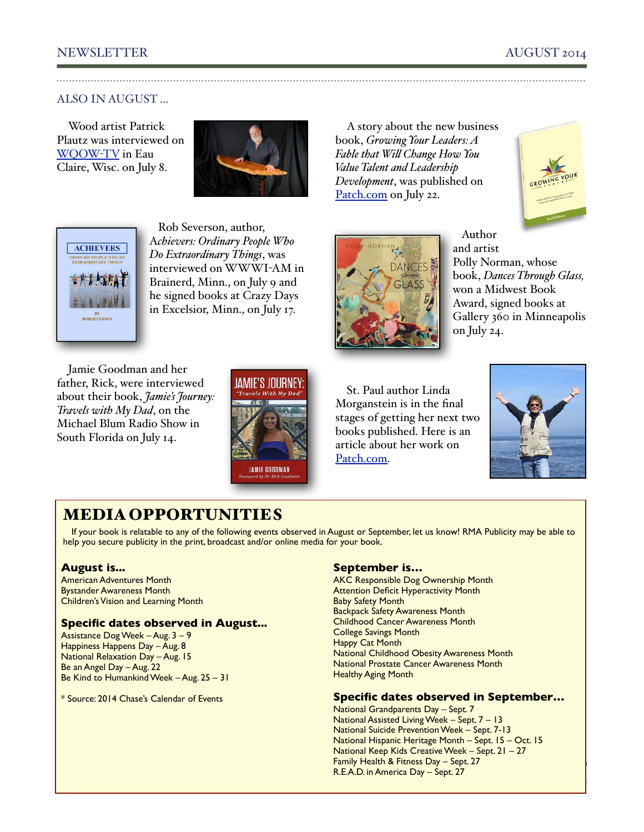#### NEWSLETTER AUGUST 2014

#### ALSO IN AUGUST ...

Wood artist Patrick Plautz was interviewed on [WQOW](http://www.wqow.com/story/26015139/2014/07/14/wood-if-he-could-clark-county-artist-makes-art-out-of-furniture)-TV in Eau Claire, Wisc. on July 8.



A story about the new business book, *Growing Your Leaders: A Fable that Wi" Change How You Value Talent and Leadership Development*, was published on [Patch.com](http://patch.com/minnesota/stillwater/why-arent-companies-developing-their-talent-inhouse-leadership-expert-rod-johnson-says-they-should-be#.U93GFlbDZv0) on July 22.





 Rob Severson, author, A*chievers: Ordinary People Who Do Extraordinary Things*, was interviewed on WWWI-AM in Brainerd, Minn., on July 9 and he signed books at Crazy Days in Excelsior, Minn., on July 17.

Jamie Goodman and her father, Rick, were interviewed about their book, *Jamie's Journey: Travels with My Dad*, on the Michael Blum Radio Show in South Florida on July 14.



**DANCE** 

 Author and artist Polly Norman, whose book, *Dances Through Glass,* won a Midwest Book Award, signed books at Gallery 360 in Minneapolis on July 24.

St. Paul author Linda Morganstein is in the final stages of getting her next two books published. Here is an article about her work on [Patch.com.](http://patch.com/minnesota/roseville/entertainment-industry-inspires-minnesota-writers-creativity)



#### MEDIA OPPORTUNITIES

If your book is relatable to any of the following events observed in August or September, let us know! RMA Publicity may be able to help you secure publicity in the print, broadcast and/or online media for your book.

#### **August is...**

American Adventures Month Bystander Awareness Month Children's Vision and Learning Month

#### **Specific dates observed in August...**

Assistance Dog Week – Aug. 3 – 9 Happiness Happens Day – Aug. 8 National Relaxation Day – Aug. 15 Be an Angel Day – Aug. 22 Be Kind to Humankind Week – Aug. 25 – 31

\* Source: 2014 Chase's Calendar of Events

#### **September is…**

AKC Responsible Dog Ownership Month **Attention Deficit Hyperactivity Month** Baby Safety Month Backpack Safety Awareness Month Childhood Cancer Awareness Month College Savings Month Happy Cat Month National Childhood Obesity Awareness Month National Prostate Cancer Awareness Month Healthy Aging Month

#### **Specific dates observed in September…**

PAGE 4 National Grandparents Day – Sept. 7 National Assisted Living Week – Sept. 7 – 13 National Suicide Prevention Week – Sept. 7-13 National Hispanic Heritage Month – Sept. 15 – Oct. 15 National Keep Kids Creative Week – Sept. 21 – 27 Family Health & Fitness Day – Sept. 27 R.E.A.D. in America Day – Sept. 27